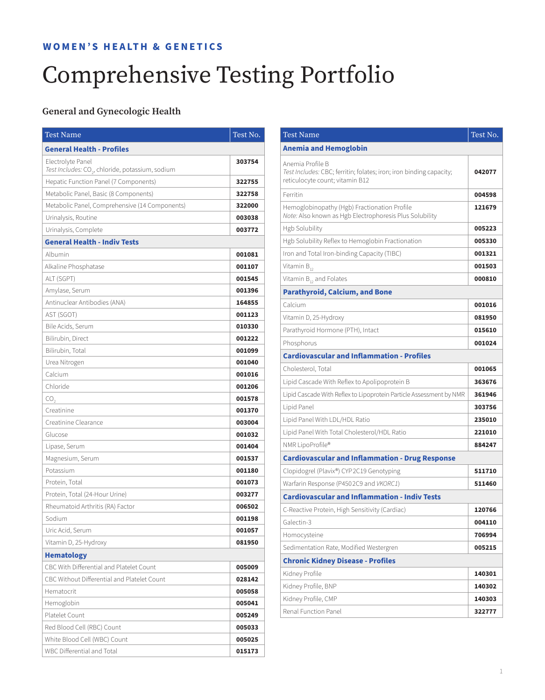#### **WOMEN'S HEALTH & GENETICS**

# Comprehensive Testing Portfolio

#### **General and Gynecologic Health**

| <b>Test Name</b>                                             | Test No. |
|--------------------------------------------------------------|----------|
| <b>General Health - Profiles</b>                             |          |
| Electrolyte Panel                                            | 303754   |
| Test Includes: CO <sub>2</sub> , chloride, potassium, sodium |          |
| Hepatic Function Panel (7 Components)                        | 322755   |
| Metabolic Panel, Basic (8 Components)                        | 322758   |
| Metabolic Panel, Comprehensive (14 Components)               | 322000   |
| Urinalysis, Routine                                          | 003038   |
| Urinalysis, Complete                                         | 003772   |
| <b>General Health - Indiv Tests</b>                          |          |
| Albumin                                                      | 001081   |
| Alkaline Phosphatase                                         | 001107   |
| ALT (SGPT)                                                   | 001545   |
| Amylase, Serum                                               | 001396   |
| Antinuclear Antibodies (ANA)                                 | 164855   |
| AST (SGOT)                                                   | 001123   |
| Bile Acids, Serum                                            | 010330   |
| Bilirubin, Direct                                            | 001222   |
| Bilirubin, Total                                             | 001099   |
| Urea Nitrogen                                                | 001040   |
| Calcium                                                      | 001016   |
| Chloride                                                     | 001206   |
| CO,                                                          | 001578   |
| Creatinine                                                   | 001370   |
| Creatinine Clearance                                         | 003004   |
| Glucose                                                      | 001032   |
| Lipase, Serum                                                | 001404   |
| Magnesium, Serum                                             | 001537   |
| Potassium                                                    | 001180   |
| Protein, Total                                               | 001073   |
| Protein, Total (24-Hour Urine)                               | 003277   |
| Rheumatoid Arthritis (RA) Factor                             | 006502   |
| Sodium                                                       | 001198   |
| Uric Acid, Serum                                             | 001057   |
| Vitamin D, 25-Hydroxy                                        | 081950   |
| <b>Hematology</b>                                            |          |
| CBC With Differential and Platelet Count                     | 005009   |
| CBC Without Differential and Platelet Count                  | 028142   |
| Hematocrit                                                   | 005058   |
| Hemoglobin                                                   | 005041   |
| Platelet Count                                               | 005249   |
| Red Blood Cell (RBC) Count                                   | 005033   |
| White Blood Cell (WBC) Count                                 | 005025   |
| WBC Differential and Total                                   | 015173   |

| <b>Test Name</b>                                                                                                           | Test No. |
|----------------------------------------------------------------------------------------------------------------------------|----------|
| <b>Anemia and Hemoglobin</b>                                                                                               |          |
| Anemia Profile B<br>Test Includes: CBC; ferritin; folates; iron; iron binding capacity;<br>reticulocyte count; vitamin B12 | 042077   |
| Ferritin                                                                                                                   | 004598   |
| Hemoglobinopathy (Hgb) Fractionation Profile<br>Note: Also known as Hgb Electrophoresis Plus Solubility                    | 121679   |
| <b>Hgb Solubility</b>                                                                                                      | 005223   |
| Hgb Solubility Reflex to Hemoglobin Fractionation                                                                          | 005330   |
| Iron and Total Iron-binding Capacity (TIBC)                                                                                | 001321   |
| Vitamin $B_{12}$                                                                                                           | 001503   |
| Vitamin $B_{12}$ and Folates                                                                                               | 000810   |
| <b>Parathyroid, Calcium, and Bone</b>                                                                                      |          |
| Calcium                                                                                                                    | 001016   |
| Vitamin D, 25-Hydroxy                                                                                                      | 081950   |
| Parathyroid Hormone (PTH), Intact                                                                                          | 015610   |
| Phosphorus                                                                                                                 | 001024   |
| <b>Cardiovascular and Inflammation - Profiles</b>                                                                          |          |
| Cholesterol, Total                                                                                                         | 001065   |
| Lipid Cascade With Reflex to Apolipoprotein B                                                                              | 363676   |
| Lipid Cascade With Reflex to Lipoprotein Particle Assessment by NMR                                                        | 361946   |
| Lipid Panel                                                                                                                | 303756   |
| Lipid Panel With LDL/HDL Ratio                                                                                             | 235010   |
| Lipid Panel With Total Cholesterol/HDL Ratio                                                                               | 221010   |
| NMR LipoProfile®                                                                                                           | 884247   |
| <b>Cardiovascular and Inflammation - Drug Response</b>                                                                     |          |
| Clopidogrel (Plavix®) CYP2C19 Genotyping                                                                                   | 511710   |
| Warfarin Response (P4502C9 and VKORC1)                                                                                     | 511460   |
| <b>Cardiovascular and Inflammation - Indiv Tests</b>                                                                       |          |
| C-Reactive Protein, High Sensitivity (Cardiac)                                                                             | 120766   |
| Galectin-3                                                                                                                 | 004110   |
| Homocysteine                                                                                                               | 706994   |
| Sedimentation Rate, Modified Westergren                                                                                    | 005215   |
| <b>Chronic Kidney Disease - Profiles</b>                                                                                   |          |
| Kidney Profile                                                                                                             | 140301   |
| Kidney Profile, BNP                                                                                                        | 140302   |
| Kidney Profile, CMP                                                                                                        | 140303   |
| Renal Function Panel                                                                                                       | 322777   |
|                                                                                                                            |          |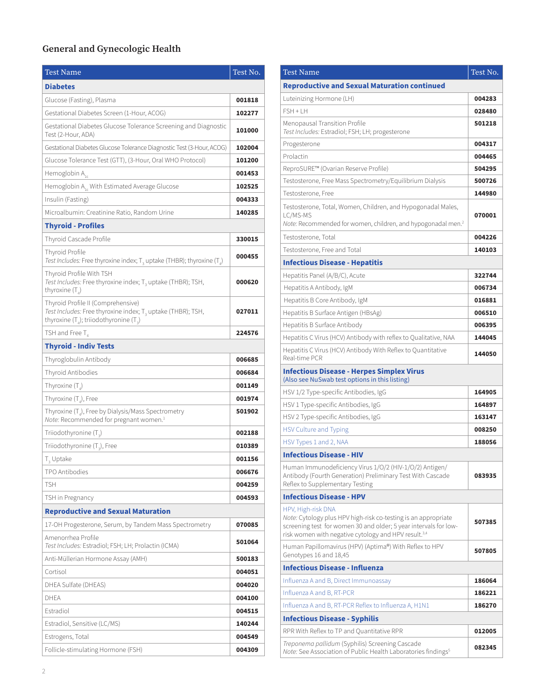## **General and Gynecologic Health**

| <b>Test Name</b>                                                                                                                                              | Test No. |
|---------------------------------------------------------------------------------------------------------------------------------------------------------------|----------|
| <b>Diabetes</b>                                                                                                                                               |          |
| Glucose (Fasting), Plasma                                                                                                                                     | 001818   |
| Gestational Diabetes Screen (1-Hour, ACOG)                                                                                                                    | 102277   |
| Gestational Diabetes Glucose Tolerance Screening and Diagnostic<br>Test (2-Hour, ADA)                                                                         | 101000   |
| Gestational Diabetes Glucose Tolerance Diagnostic Test (3-Hour, ACOG)                                                                                         | 102004   |
| Glucose Tolerance Test (GTT), (3-Hour, Oral WHO Protocol)                                                                                                     | 101200   |
| Hemoglobin A <sub>1c</sub>                                                                                                                                    | 001453   |
| Hemoglobin A <sub>1</sub> , With Estimated Average Glucose                                                                                                    | 102525   |
| Insulin (Fasting)                                                                                                                                             | 004333   |
| Microalbumin: Creatinine Ratio, Random Urine                                                                                                                  | 140285   |
| <b>Thyroid - Profiles</b>                                                                                                                                     |          |
| Thyroid Cascade Profile                                                                                                                                       | 330015   |
| Thyroid Profile<br>Test Includes: Free thyroxine index; $T_3$ uptake (THBR); thyroxine (T <sub>4</sub> )                                                      | 000455   |
| Thyroid Profile With TSH<br>Test Includes: Free thyroxine index; T <sub>3</sub> uptake (THBR); TSH,<br>thyroxine $(T_a)$                                      | 000620   |
| Thyroid Profile II (Comprehensive)<br>Test Includes: Free thyroxine index; T <sub>3</sub> uptake (THBR); TSH,<br>thyroxine $(T_4)$ ; triiodothyronine $(T_3)$ | 027011   |
| TSH and Free $T_4$                                                                                                                                            | 224576   |
| <b>Thyroid - Indiv Tests</b>                                                                                                                                  |          |
| Thyroglobulin Antibody                                                                                                                                        | 006685   |
| Thyroid Antibodies                                                                                                                                            | 006684   |
| Thyroxine $(T_a)$                                                                                                                                             | 001149   |
| Thyroxine $(T_a)$ , Free                                                                                                                                      | 001974   |
| Thyroxine $(T_{a})$ , Free by Dialysis/Mass Spectrometry<br>Note: Recommended for pregnant women. <sup>1</sup>                                                | 501902   |
| Triiodothyronine $(T_{2})$                                                                                                                                    | 002188   |
| Triiodothyronine (T <sub>3</sub> ), Free                                                                                                                      | 010389   |
| T <sub>3</sub> Uptake                                                                                                                                         | 001156   |
| TPO Antibodies                                                                                                                                                | 006676   |
| <b>TSH</b>                                                                                                                                                    | 004259   |
| TSH in Pregnancy                                                                                                                                              | 004593   |
| <b>Reproductive and Sexual Maturation</b>                                                                                                                     |          |
| 17-OH Progesterone, Serum, by Tandem Mass Spectrometry                                                                                                        | 070085   |
| Amenorrhea Profile<br>Test Includes: Estradiol; FSH; LH; Prolactin (ICMA)                                                                                     | 501064   |
| Anti-Müllerian Hormone Assay (AMH)                                                                                                                            | 500183   |
| Cortisol                                                                                                                                                      | 004051   |
| DHEA Sulfate (DHEAS)                                                                                                                                          | 004020   |
| DHEA                                                                                                                                                          | 004100   |
| Estradiol                                                                                                                                                     | 004515   |
| Estradiol, Sensitive (LC/MS)                                                                                                                                  | 140244   |
| Estrogens, Total                                                                                                                                              | 004549   |
| Follicle-stimulating Hormone (FSH)                                                                                                                            | 004309   |

| <b>Test Name</b>                                                                                                                                                                                                             | Test No. |
|------------------------------------------------------------------------------------------------------------------------------------------------------------------------------------------------------------------------------|----------|
| <b>Reproductive and Sexual Maturation continued</b>                                                                                                                                                                          |          |
| Luteinizing Hormone (LH)                                                                                                                                                                                                     | 004283   |
| FSH + LH                                                                                                                                                                                                                     | 028480   |
| Menopausal Transition Profile<br>Test Includes: Estradiol; FSH; LH; progesterone                                                                                                                                             | 501218   |
| Progesterone                                                                                                                                                                                                                 | 004317   |
| Prolactin                                                                                                                                                                                                                    | 004465   |
| ReproSURE™ (Ovarian Reserve Profile)                                                                                                                                                                                         | 504295   |
| Testosterone, Free Mass Spectrometry/Equilibrium Dialysis                                                                                                                                                                    | 500726   |
| Testosterone, Free                                                                                                                                                                                                           | 144980   |
| Testosterone, Total, Women, Children, and Hypogonadal Males,<br>LC/MS-MS<br>Note: Recommended for women, children, and hypogonadal men. <sup>2</sup>                                                                         | 070001   |
| Testosterone, Total                                                                                                                                                                                                          | 004226   |
| Testosterone, Free and Total                                                                                                                                                                                                 | 140103   |
| <b>Infectious Disease - Hepatitis</b>                                                                                                                                                                                        |          |
| Hepatitis Panel (A/B/C), Acute                                                                                                                                                                                               | 322744   |
| Hepatitis A Antibody, IgM                                                                                                                                                                                                    | 006734   |
| Hepatitis B Core Antibody, IgM                                                                                                                                                                                               | 016881   |
| Hepatitis B Surface Antigen (HBsAg)                                                                                                                                                                                          | 006510   |
| Hepatitis B Surface Antibody                                                                                                                                                                                                 | 006395   |
| Hepatitis C Virus (HCV) Antibody with reflex to Qualitative, NAA                                                                                                                                                             | 144045   |
| Hepatitis C Virus (HCV) Antibody With Reflex to Quantitative<br>Real-time PCR                                                                                                                                                | 144050   |
| <b>Infectious Disease - Herpes Simplex Virus</b><br>(Also see NuSwab test options in this listing)                                                                                                                           |          |
| HSV 1/2 Type-specific Antibodies, IgG                                                                                                                                                                                        | 164905   |
| HSV 1 Type-specific Antibodies, IgG                                                                                                                                                                                          | 164897   |
| HSV 2 Type-specific Antibodies, IgG                                                                                                                                                                                          | 163147   |
| <b>HSV Culture and Typing</b>                                                                                                                                                                                                | 008250   |
| HSV Types 1 and 2, NAA                                                                                                                                                                                                       | 188056   |
| <b>Infectious Disease - HIV</b>                                                                                                                                                                                              |          |
| Human Immunodeficiency Virus 1/0/2 (HIV-1/0/2) Antigen/<br>Antibody (Fourth Generation) Preliminary Test With Cascade<br>Reflex to Supplementary Testing                                                                     | 083935   |
| <b>Infectious Disease - HPV</b>                                                                                                                                                                                              |          |
| HPV, High-risk DNA<br>Note: Cytology plus HPV high-risk co-testing is an appropriate<br>screening test for women 30 and older; 5 year intervals for low-<br>risk women with negative cytology and HPV result. <sup>3,4</sup> | 507385   |
| Human Papillomavirus (HPV) (Aptima®) With Reflex to HPV<br>Genotypes 16 and 18,45                                                                                                                                            | 507805   |
| <b>Infectious Disease - Influenza</b>                                                                                                                                                                                        |          |
| Influenza A and B, Direct Immunoassay                                                                                                                                                                                        | 186064   |
| Influenza A and B, RT-PCR                                                                                                                                                                                                    | 186221   |
| Influenza A and B, RT-PCR Reflex to Influenza A, H1N1                                                                                                                                                                        | 186270   |
| <b>Infectious Disease - Syphilis</b>                                                                                                                                                                                         |          |
| RPR With Reflex to TP and Quantitative RPR                                                                                                                                                                                   | 012005   |
| Treponema pallidum (Syphilis) Screening Cascade<br>Note: See Association of Public Health Laboratories findings <sup>5</sup>                                                                                                 | 082345   |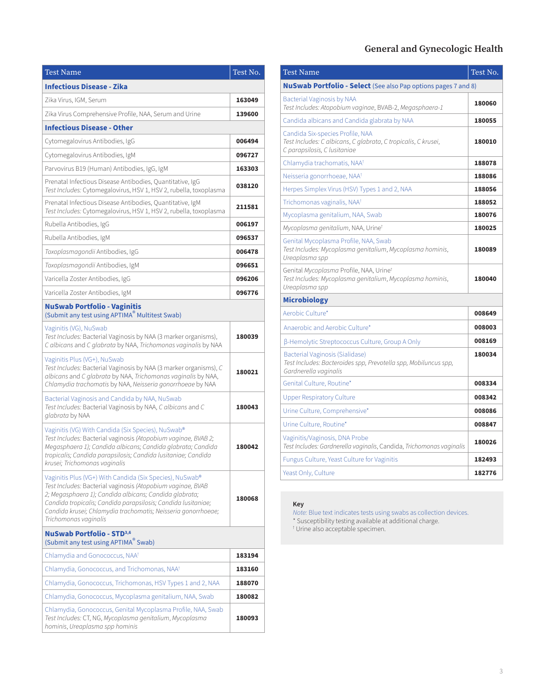#### **General and Gynecologic Health**

| <b>Test Name</b>                                                                                                                                                                                                                                                                                                                             | Test No. |
|----------------------------------------------------------------------------------------------------------------------------------------------------------------------------------------------------------------------------------------------------------------------------------------------------------------------------------------------|----------|
| <b>Infectious Disease - Zika</b>                                                                                                                                                                                                                                                                                                             |          |
| Zika Virus, IGM, Serum                                                                                                                                                                                                                                                                                                                       | 163049   |
| Zika Virus Comprehensive Profile, NAA, Serum and Urine                                                                                                                                                                                                                                                                                       | 139600   |
| <b>Infectious Disease - Other</b>                                                                                                                                                                                                                                                                                                            |          |
| Cytomegalovirus Antibodies, IgG                                                                                                                                                                                                                                                                                                              | 006494   |
| Cytomegalovirus Antibodies, IgM                                                                                                                                                                                                                                                                                                              | 096727   |
| Parvovirus B19 (Human) Antibodies, IgG, IgM                                                                                                                                                                                                                                                                                                  | 163303   |
| Prenatal Infectious Disease Antibodies, Quantitative, IgG<br>Test Includes: Cytomegalovirus, HSV 1, HSV 2, rubella, toxoplasma                                                                                                                                                                                                               | 038120   |
| Prenatal Infectious Disease Antibodies, Quantitative, IgM<br>Test Includes: Cytomegalovirus, HSV 1, HSV 2, rubella, toxoplasma                                                                                                                                                                                                               | 211581   |
| Rubella Antibodies, IgG                                                                                                                                                                                                                                                                                                                      | 006197   |
| Rubella Antibodies, IgM                                                                                                                                                                                                                                                                                                                      | 096537   |
| Toxoplasmagondii Antibodies, IgG                                                                                                                                                                                                                                                                                                             | 006478   |
| Toxoplasmagondii Antibodies, IgM                                                                                                                                                                                                                                                                                                             | 096651   |
| Varicella Zoster Antibodies, IgG                                                                                                                                                                                                                                                                                                             | 096206   |
| Varicella Zoster Antibodies, IgM                                                                                                                                                                                                                                                                                                             | 096776   |
| <b>NuSwab Portfolio - Vaginitis</b><br>(Submit any test using APTIMA <sup>®</sup> Multitest Swab)                                                                                                                                                                                                                                            |          |
| Vaginitis (VG), NuSwab<br>Test Includes: Bacterial Vaginosis by NAA (3 marker organisms),<br>C albicans and C glabrata by NAA, Trichomonas vaginalis by NAA                                                                                                                                                                                  | 180039   |
| Vaginitis Plus (VG+), NuSwab<br>Test Includes: Bacterial Vaginosis by NAA (3 marker organisms), C<br>albicans and C glabrata by NAA, Trichomonas vaginalis by NAA,<br>Chlamydia trachomatis by NAA, Neisseria gonorrhoeae by NAA                                                                                                             | 180021   |
| Bacterial Vaginosis and Candida by NAA, NuSwab<br>Test Includes: Bacterial Vaginosis by NAA, C albicans and C<br>glabrata by NAA                                                                                                                                                                                                             | 180043   |
| Vaginitis (VG) With Candida (Six Species), NuSwab®<br>Test Includes: Bacterial vaginosis (Atopobium vaginae, BVAB 2;<br>Megasphaera 1); Candida albicans; Candida glabrata; Candida<br>tropicalis; Candida parapsilosis; Candida lusitaniae; Candida<br>krusei; Trichomonas vaginalis                                                        | 180042   |
| Vaginitis Plus (VG+) With Candida (Six Species), NuSwab®<br>Test Includes: Bacterial vaginosis (Atopobium vaginae, BVAB<br>2; Megasphaera 1); Candida albicans; Candida glabrata;<br>Candida tropicalis; Candida parapsilosis; Candida lusitaniae;<br>Candida krusei; Chlamydia trachomatis; Neisseria gonorrhoeae;<br>Trichomonas vaginalis | 180068   |
| <b>NuSwab Portfolio - STD3,6</b><br>(Submit any test using APTIMA <sup>®</sup> Swab)                                                                                                                                                                                                                                                         |          |
| Chlamydia and Gonococcus, NAA <sup>t</sup>                                                                                                                                                                                                                                                                                                   | 183194   |
| Chlamydia, Gonococcus, and Trichomonas, NAA <sup>†</sup>                                                                                                                                                                                                                                                                                     | 183160   |
| Chlamydia, Gonococcus, Trichomonas, HSV Types 1 and 2, NAA                                                                                                                                                                                                                                                                                   | 188070   |
| Chlamydia, Gonococcus, Mycoplasma genitalium, NAA, Swab                                                                                                                                                                                                                                                                                      | 180082   |
| Chlamydia, Gonococcus, Genital Mycoplasma Profile, NAA, Swab<br>Test Includes: CT, NG, Mycoplasma genitalium, Mycoplasma<br>hominis, Ureaplasma spp hominis                                                                                                                                                                                  | 180093   |

| <b>Test Name</b>                                                                                                                          | Test No. |
|-------------------------------------------------------------------------------------------------------------------------------------------|----------|
| <b>NuSwab Portfolio - Select</b> (See also Pap options pages 7 and 8)                                                                     |          |
| Bacterial Vaginosis by NAA<br>Test Includes: Atopobium vaginae, BVAB-2, Megasphaera-1                                                     | 180060   |
| Candida albicans and Candida glabrata by NAA                                                                                              | 180055   |
| Candida Six-species Profile, NAA<br>Test Includes: C albicans, C glabrata, C tropicalis, C krusei,<br>C parapsilosis, C lusitaniae        | 180010   |
| Chlamydia trachomatis, NAA <sup>†</sup>                                                                                                   | 188078   |
| Neisseria gonorrhoeae, NAA <sup>†</sup>                                                                                                   | 188086   |
| Herpes Simplex Virus (HSV) Types 1 and 2, NAA                                                                                             | 188056   |
| Trichomonas vaginalis, NAA <sup>†</sup>                                                                                                   | 188052   |
| Mycoplasma genitalium, NAA, Swab                                                                                                          | 180076   |
| Mycoplasma qenitalium, NAA, Urine†                                                                                                        | 180025   |
| Genital Mycoplasma Profile, NAA, Swab<br>Test Includes: Mycoplasma genitalium, Mycoplasma hominis,<br>Ureaplasma spp                      | 180089   |
| Genital <i>Mycoplasma</i> Profile, NAA, Urine <sup>t</sup><br>Test Includes: Mycoplasma genitalium, Mycoplasma hominis,<br>Ureaplasma spp | 180040   |
| <b>Microbiology</b>                                                                                                                       |          |
| Aerobic Culture*                                                                                                                          | 008649   |
| Anaerobic and Aerobic Culture*                                                                                                            | 008003   |
| β-Hemolytic Streptococcus Culture, Group A Only                                                                                           | 008169   |
| Bacterial Vaginosis (Sialidase)<br>Test Includes: Bacteroides spp, Prevotella spp, Mobiluncus spp,<br>Gardnerella vaginalis               | 180034   |
| Genital Culture, Routine*                                                                                                                 | 008334   |
| Upper Respiratory Culture                                                                                                                 | 008342   |
| Urine Culture, Comprehensive*                                                                                                             | 008086   |
| Urine Culture, Routine*                                                                                                                   | 008847   |
| Vaginitis/Vaginosis, DNA Probe<br>Test Includes: Gardnerella vaginalis, Candida, Trichomonas vaginalis                                    | 180026   |
| Fungus Culture, Yeast Culture for Vaginitis                                                                                               | 182493   |
| Yeast Only, Culture                                                                                                                       | 182776   |

#### **Key**

*Note:* Blue text indicates tests using swabs as collection devices. \* Susceptibility testing available at additional charge. † Urine also acceptable specimen.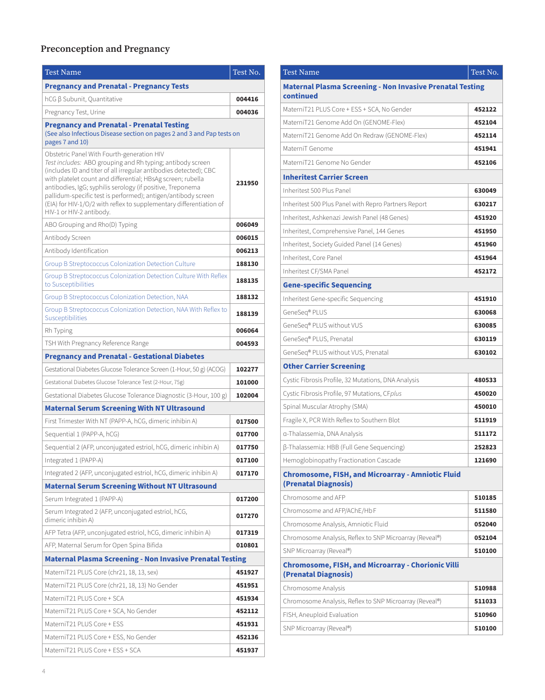#### **Preconception and Pregnancy**

| <b>Test Name</b>                                                                                                                                                                                                                                                                                                                                                                                                                                                               | Test No. |
|--------------------------------------------------------------------------------------------------------------------------------------------------------------------------------------------------------------------------------------------------------------------------------------------------------------------------------------------------------------------------------------------------------------------------------------------------------------------------------|----------|
| <b>Pregnancy and Prenatal - Pregnancy Tests</b>                                                                                                                                                                                                                                                                                                                                                                                                                                |          |
| hCG β Subunit, Quantitative                                                                                                                                                                                                                                                                                                                                                                                                                                                    | 004416   |
| Pregnancy Test, Urine                                                                                                                                                                                                                                                                                                                                                                                                                                                          | 004036   |
| <b>Pregnancy and Prenatal - Prenatal Testing</b><br>(See also Infectious Disease section on pages 2 and 3 and Pap tests on<br>pages 7 and 10)                                                                                                                                                                                                                                                                                                                                  |          |
| Obstetric Panel With Fourth-generation HIV<br>Test includes: ABO grouping and Rh typing; antibody screen<br>(includes ID and titer of all irregular antibodies detected); CBC<br>with platelet count and differential; HBsAg screen; rubella<br>antibodies, IgG; syphilis serology (if positive, Treponema<br>pallidum-specific test is performed); antigen/antibody screen<br>(EIA) for HIV-1/O/2 with reflex to supplementary differentiation of<br>HIV-1 or HIV-2 antibody. | 231950   |
| ABO Grouping and Rho(D) Typing                                                                                                                                                                                                                                                                                                                                                                                                                                                 | 006049   |
| Antibody Screen                                                                                                                                                                                                                                                                                                                                                                                                                                                                | 006015   |
| Antibody Identification                                                                                                                                                                                                                                                                                                                                                                                                                                                        | 006213   |
| Group B Streptococcus Colonization Detection Culture                                                                                                                                                                                                                                                                                                                                                                                                                           | 188130   |
| Group B Streptococcus Colonization Detection Culture With Reflex<br>to Susceptibilities                                                                                                                                                                                                                                                                                                                                                                                        | 188135   |
| Group B Streptococcus Colonization Detection, NAA                                                                                                                                                                                                                                                                                                                                                                                                                              | 188132   |
| Group B Streptococcus Colonization Detection, NAA With Reflex to<br>Susceptibilities                                                                                                                                                                                                                                                                                                                                                                                           | 188139   |
| Rh Typing                                                                                                                                                                                                                                                                                                                                                                                                                                                                      | 006064   |
| TSH With Pregnancy Reference Range                                                                                                                                                                                                                                                                                                                                                                                                                                             | 004593   |
| <b>Pregnancy and Prenatal - Gestational Diabetes</b>                                                                                                                                                                                                                                                                                                                                                                                                                           |          |
| Gestational Diabetes Glucose Tolerance Screen (1-Hour, 50 g) (ACOG)                                                                                                                                                                                                                                                                                                                                                                                                            | 102277   |
| Gestational Diabetes Glucose Tolerance Test (2-Hour, 75g)                                                                                                                                                                                                                                                                                                                                                                                                                      | 101000   |
| Gestational Diabetes Glucose Tolerance Diagnostic (3-Hour, 100 g)                                                                                                                                                                                                                                                                                                                                                                                                              | 102004   |
| <b>Maternal Serum Screening With NT Ultrasound</b>                                                                                                                                                                                                                                                                                                                                                                                                                             |          |
| First Trimester With NT (PAPP-A, hCG, dimeric inhibin A)                                                                                                                                                                                                                                                                                                                                                                                                                       | 017500   |
| Sequential 1 (PAPP-A, hCG)                                                                                                                                                                                                                                                                                                                                                                                                                                                     | 017700   |
| Sequential 2 (AFP, unconjugated estriol, hCG, dimeric inhibin A)                                                                                                                                                                                                                                                                                                                                                                                                               | 017750   |
| Integrated 1 (PAPP-A)                                                                                                                                                                                                                                                                                                                                                                                                                                                          | 017100   |
| Integrated 2 (AFP, unconjugated estriol, hCG, dimeric inhibin A)                                                                                                                                                                                                                                                                                                                                                                                                               | 017170   |
| <b>Maternal Serum Screening Without NT Ultrasound</b>                                                                                                                                                                                                                                                                                                                                                                                                                          |          |
| Serum Integrated 1 (PAPP-A)                                                                                                                                                                                                                                                                                                                                                                                                                                                    | 017200   |
| Serum Integrated 2 (AFP, unconjugated estriol, hCG,<br>dimeric inhibin A)                                                                                                                                                                                                                                                                                                                                                                                                      | 017270   |
| AFP Tetra (AFP, unconjugated estriol, hCG, dimeric inhibin A)                                                                                                                                                                                                                                                                                                                                                                                                                  | 017319   |
| AFP, Maternal Serum for Open Spina Bifida                                                                                                                                                                                                                                                                                                                                                                                                                                      | 010801   |
| <b>Maternal Plasma Screening - Non Invasive Prenatal Testing</b>                                                                                                                                                                                                                                                                                                                                                                                                               |          |
| MaterniT21 PLUS Core (chr21, 18, 13, sex)                                                                                                                                                                                                                                                                                                                                                                                                                                      | 451927   |
| MaterniT21 PLUS Core (chr21, 18, 13) No Gender                                                                                                                                                                                                                                                                                                                                                                                                                                 | 451951   |
| MaterniT21 PLUS Core + SCA                                                                                                                                                                                                                                                                                                                                                                                                                                                     | 451934   |
| MaterniT21 PLUS Core + SCA, No Gender                                                                                                                                                                                                                                                                                                                                                                                                                                          | 452112   |
| MaterniT21 PLUS Core + ESS                                                                                                                                                                                                                                                                                                                                                                                                                                                     | 451931   |
| MaterniT21 PLUS Core + ESS, No Gender                                                                                                                                                                                                                                                                                                                                                                                                                                          | 452136   |
| MaterniT21 PLUS Core + ESS + SCA                                                                                                                                                                                                                                                                                                                                                                                                                                               | 451937   |

| <b>Test Name</b>                                                                  | Test No. |
|-----------------------------------------------------------------------------------|----------|
| <b>Maternal Plasma Screening - Non Invasive Prenatal Testing</b><br>continued     |          |
| MaterniT21 PLUS Core + ESS + SCA, No Gender                                       | 452122   |
| MaterniT21 Genome Add On (GENOME-Flex)                                            | 452104   |
| MaterniT21 Genome Add On Redraw (GENOME-Flex)                                     | 452114   |
| MaterniT Genome                                                                   | 451941   |
| MaterniT21 Genome No Gender                                                       | 452106   |
| <b>Inheritest Carrier Screen</b>                                                  |          |
| Inheritest 500 Plus Panel                                                         | 630049   |
| Inheritest 500 Plus Panel with Repro Partners Report                              | 630217   |
| Inheritest, Ashkenazi Jewish Panel (48 Genes)                                     | 451920   |
| Inheritest, Comprehensive Panel, 144 Genes                                        | 451950   |
| Inheritest, Society Guided Panel (14 Genes)                                       | 451960   |
| Inheritest, Core Panel                                                            | 451964   |
| Inheritest CF/SMA Panel                                                           | 452172   |
| <b>Gene-specific Sequencing</b>                                                   |          |
| Inheritest Gene-specific Sequencing                                               | 451910   |
| GeneSeq® PLUS                                                                     | 630068   |
| GeneSeq® PLUS without VUS                                                         | 630085   |
| GeneSeq® PLUS, Prenatal                                                           | 630119   |
| GeneSeq® PLUS without VUS, Prenatal                                               | 630102   |
| <b>Other Carrier Screening</b>                                                    |          |
| Cystic Fibrosis Profile, 32 Mutations, DNA Analysis                               | 480533   |
| Cystic Fibrosis Profile, 97 Mutations, CFplus                                     | 450020   |
| Spinal Muscular Atrophy (SMA)                                                     | 450010   |
| Fragile X, PCR With Reflex to Southern Blot                                       | 511919   |
| a-Thalassemia, DNA Analysis                                                       | 511172   |
| β-Thalassemia: HBB (Full Gene Sequencing)                                         | 252823   |
| Hemoglobinopathy Fractionation Cascade                                            | 121690   |
| <b>Chromosome, FISH, and Microarray - Amniotic Fluid</b><br>(Prenatal Diagnosis)  |          |
| Chromosome and AFP                                                                | 510185   |
| Chromosome and AFP/AChE/HbF                                                       | 511580   |
| Chromosome Analysis, Amniotic Fluid                                               | 052040   |
| Chromosome Analysis, Reflex to SNP Microarray (Reveal®)                           | 052104   |
| SNP Microarray (Reveal®)                                                          | 510100   |
| <b>Chromosome, FISH, and Microarray - Chorionic Villi</b><br>(Prenatal Diagnosis) |          |
| Chromosome Analysis                                                               | 510988   |
| Chromosome Analysis, Reflex to SNP Microarray (Reveal®)                           | 511033   |
| FISH, Aneuploid Evaluation                                                        | 510960   |
| SNP Microarray (Reveal®)                                                          | 510100   |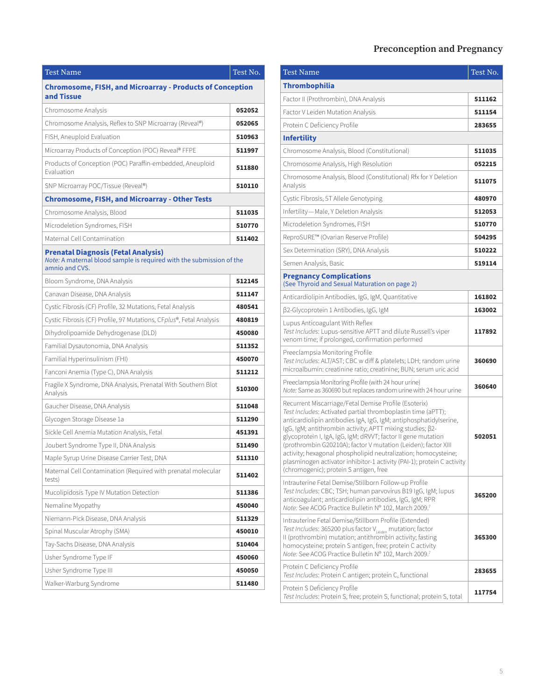## **Preconception and Pregnancy**

| <b>Test Name</b>                                                                                                                     | Test No. |
|--------------------------------------------------------------------------------------------------------------------------------------|----------|
| <b>Chromosome, FISH, and Microarray - Products of Conception</b><br>and Tissue                                                       |          |
| Chromosome Analysis                                                                                                                  | 052052   |
| Chromosome Analysis, Reflex to SNP Microarray (Reveal®)                                                                              | 052065   |
| FISH, Aneuploid Evaluation                                                                                                           | 510963   |
| Microarray Products of Conception (POC) Reveal® FFPE                                                                                 | 511997   |
| Products of Conception (POC) Paraffin-embedded, Aneuploid<br>Fvaluation                                                              | 511880   |
| SNP Microarray POC/Tissue (Reveal®)                                                                                                  | 510110   |
| <b>Chromosome, FISH, and Microarray - Other Tests</b>                                                                                |          |
| Chromosome Analysis, Blood                                                                                                           | 511035   |
| Microdeletion Syndromes, FISH                                                                                                        | 510770   |
| Maternal Cell Contamination                                                                                                          | 511402   |
| <b>Prenatal Diagnosis (Fetal Analysis)</b><br>Note: A maternal blood sample is required with the submission of the<br>amnio and CVS. |          |
| Bloom Syndrome, DNA Analysis                                                                                                         | 512145   |
| Canavan Disease, DNA Analysis                                                                                                        | 511147   |
| Cystic Fibrosis (CF) Profile, 32 Mutations, Fetal Analysis                                                                           | 480541   |
| Cystic Fibrosis (CF) Profile, 97 Mutations, CFplus®, Fetal Analysis                                                                  | 480819   |
| Dihydrolipoamide Dehydrogenase (DLD)                                                                                                 | 450080   |
| Familial Dysautonomia, DNA Analysis                                                                                                  | 511352   |
| Familial Hyperinsulinism (FHI)                                                                                                       | 450070   |
| Fanconi Anemia (Type C), DNA Analysis                                                                                                | 511212   |
| Fragile X Syndrome, DNA Analysis, Prenatal With Southern Blot<br>Analysis                                                            | 510300   |
| Gaucher Disease, DNA Analysis                                                                                                        | 511048   |
| Glycogen Storage Disease 1a                                                                                                          | 511290   |
| Sickle Cell Anemia Mutation Analysis, Fetal                                                                                          | 451391   |
| Joubert Syndrome Type II, DNA Analysis                                                                                               | 511490   |
| Maple Syrup Urine Disease Carrier Test, DNA                                                                                          | 511310   |
| Maternal Cell Contamination (Required with prenatal molecular<br>tests)                                                              | 511402   |
| Mucolipidosis Type IV Mutation Detection                                                                                             | 511386   |
| Nemaline Myopathy                                                                                                                    | 450040   |
| Niemann-Pick Disease, DNA Analysis                                                                                                   | 511329   |
| Spinal Muscular Atrophy (SMA)                                                                                                        | 450010   |
| Tay-Sachs Disease, DNA Analysis                                                                                                      | 510404   |
| Usher Syndrome Type IF                                                                                                               | 450060   |
| Usher Syndrome Type III                                                                                                              | 450050   |
| Walker-Warburg Syndrome                                                                                                              | 511480   |

| <b>Test Name</b>                                                                                                                                                                                                                                                                                                                                                                                                                                                                                                                                                                 | Test No. |
|----------------------------------------------------------------------------------------------------------------------------------------------------------------------------------------------------------------------------------------------------------------------------------------------------------------------------------------------------------------------------------------------------------------------------------------------------------------------------------------------------------------------------------------------------------------------------------|----------|
|                                                                                                                                                                                                                                                                                                                                                                                                                                                                                                                                                                                  |          |
| <b>Thrombophilia</b>                                                                                                                                                                                                                                                                                                                                                                                                                                                                                                                                                             |          |
| Factor II (Prothrombin), DNA Analysis                                                                                                                                                                                                                                                                                                                                                                                                                                                                                                                                            | 511162   |
| Factor V Leiden Mutation Analysis                                                                                                                                                                                                                                                                                                                                                                                                                                                                                                                                                | 511154   |
| Protein C Deficiency Profile                                                                                                                                                                                                                                                                                                                                                                                                                                                                                                                                                     | 283655   |
| <b>Infertility</b>                                                                                                                                                                                                                                                                                                                                                                                                                                                                                                                                                               |          |
| Chromosome Analysis, Blood (Constitutional)                                                                                                                                                                                                                                                                                                                                                                                                                                                                                                                                      | 511035   |
| Chromosome Analysis, High Resolution                                                                                                                                                                                                                                                                                                                                                                                                                                                                                                                                             | 052215   |
| Chromosome Analysis, Blood (Constitutional) Rfx for Y Deletion<br>Analysis                                                                                                                                                                                                                                                                                                                                                                                                                                                                                                       | 511075   |
| Cystic Fibrosis, 5T Allele Genotyping                                                                                                                                                                                                                                                                                                                                                                                                                                                                                                                                            | 480970   |
| Infertility - Male, Y Deletion Analysis                                                                                                                                                                                                                                                                                                                                                                                                                                                                                                                                          | 512053   |
| Microdeletion Syndromes, FISH                                                                                                                                                                                                                                                                                                                                                                                                                                                                                                                                                    | 510770   |
| ReproSURE™ (Ovarian Reserve Profile)                                                                                                                                                                                                                                                                                                                                                                                                                                                                                                                                             | 504295   |
| Sex Determination (SRY), DNA Analysis                                                                                                                                                                                                                                                                                                                                                                                                                                                                                                                                            | 510222   |
| Semen Analysis, Basic                                                                                                                                                                                                                                                                                                                                                                                                                                                                                                                                                            | 519114   |
| <b>Pregnancy Complications</b><br>(See Thyroid and Sexual Maturation on page 2)                                                                                                                                                                                                                                                                                                                                                                                                                                                                                                  |          |
| Anticardiolipin Antibodies, IgG, IgM, Quantitative                                                                                                                                                                                                                                                                                                                                                                                                                                                                                                                               | 161802   |
| β2-Glycoprotein 1 Antibodies, IgG, IgM                                                                                                                                                                                                                                                                                                                                                                                                                                                                                                                                           | 163002   |
| Lupus Anticoagulant With Reflex<br>Test Includes: Lupus-sensitive APTT and dilute Russell's viper<br>venom time; if prolonged, confirmation performed                                                                                                                                                                                                                                                                                                                                                                                                                            | 117892   |
| Preeclampsia Monitoring Profile<br>Test Includes: ALT/AST; CBC w diff & platelets; LDH; random urine<br>microalbumin: creatinine ratio; creatinine; BUN; serum uric acid                                                                                                                                                                                                                                                                                                                                                                                                         | 360690   |
| Preeclampsia Monitoring Profile (with 24 hour urine)<br>Note: Same as 360690 but replaces random urine with 24 hour urine                                                                                                                                                                                                                                                                                                                                                                                                                                                        | 360640   |
| Recurrent Miscarriage/Fetal Demise Profile (Esoterix)<br>Test Includes: Activated partial thromboplastin time (aPTT);<br>anticardiolipin antibodies IgA, IgG, IgM; antiphosphatidylserine,<br>IgG, IgM; antithrombin activity; APTT mixing studies; ß2-<br>glycoprotein I, IgA, IgG, IgM; dRVVT; factor II gene mutation<br>(prothrombin G20210A); factor V mutation (Leiden); factor XIII<br>activity; hexagonal phospholipid neutralization; homocysteine;<br>plasminogen activator inhibitor-1 activity (PAI-1); protein C activity<br>(chromogenic); protein S antigen, free | 502051   |
| Intrauterine Fetal Demise/Stillborn Follow-up Profile<br>Test Includes: CBC; TSH; human parvovirus B19 IgG, IgM; lupus<br>anticoagulant; anticardiolipin antibodies, IgG, IgM; RPR<br>Note: See ACOG Practice Bulletin Nº 102, March 2009.7                                                                                                                                                                                                                                                                                                                                      | 365200   |
| Intrauterine Fetal Demise/Stillborn Profile (Extended)<br>Test Includes: 365200 plus factor V <sub>Leiden</sub> mutation; factor<br>II (prothrombin) mutation; antithrombin activity; fasting<br>homocysteine; protein S antigen, free; protein C activity<br>Note: See ACOG Practice Bulletin Nº 102, March 2009.7                                                                                                                                                                                                                                                              | 365300   |
| Protein C Deficiency Profile<br>Test Includes: Protein C antigen; protein C, functional                                                                                                                                                                                                                                                                                                                                                                                                                                                                                          | 283655   |
| Protein S Deficiency Profile<br>Test Includes: Protein S, free; protein S, functional; protein S, total                                                                                                                                                                                                                                                                                                                                                                                                                                                                          | 117754   |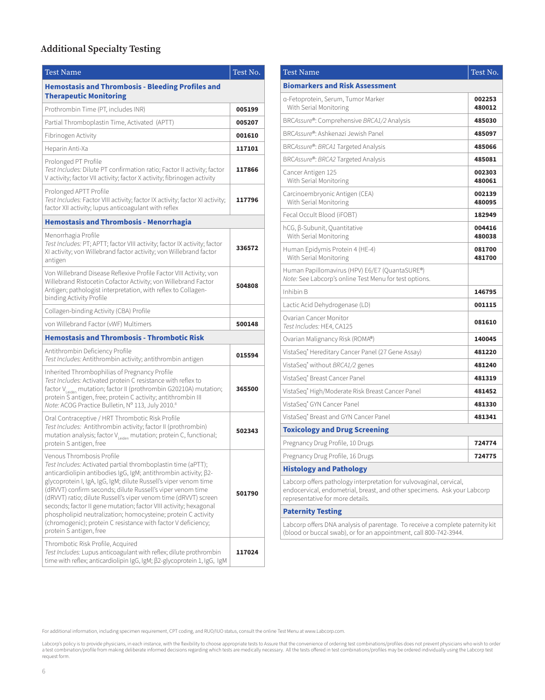#### **Additional Specialty Testing**

| <b>Test Name</b>                                                                                                                                                                                                                                                                                                                                                                                                                                                                                                                                                                                    | Test No. |
|-----------------------------------------------------------------------------------------------------------------------------------------------------------------------------------------------------------------------------------------------------------------------------------------------------------------------------------------------------------------------------------------------------------------------------------------------------------------------------------------------------------------------------------------------------------------------------------------------------|----------|
| <b>Hemostasis and Thrombosis - Bleeding Profiles and</b><br><b>Therapeutic Monitoring</b>                                                                                                                                                                                                                                                                                                                                                                                                                                                                                                           |          |
| Prothrombin Time (PT, includes INR)                                                                                                                                                                                                                                                                                                                                                                                                                                                                                                                                                                 | 005199   |
| Partial Thromboplastin Time, Activated (APTT)                                                                                                                                                                                                                                                                                                                                                                                                                                                                                                                                                       | 005207   |
| Fibrinogen Activity                                                                                                                                                                                                                                                                                                                                                                                                                                                                                                                                                                                 | 001610   |
| Heparin Anti-Xa                                                                                                                                                                                                                                                                                                                                                                                                                                                                                                                                                                                     | 117101   |
| Prolonged PT Profile<br>Test Includes: Dilute PT confirmation ratio; Factor II activity; factor<br>V activity; factor VII activity; factor X activity; fibrinogen activity                                                                                                                                                                                                                                                                                                                                                                                                                          | 117866   |
| Prolonged APTT Profile<br>Test Includes: Factor VIII activity; factor IX activity; factor XI activity;<br>factor XII activity; lupus anticoagulant with reflex                                                                                                                                                                                                                                                                                                                                                                                                                                      | 117796   |
| <b>Hemostasis and Thrombosis - Menorrhagia</b>                                                                                                                                                                                                                                                                                                                                                                                                                                                                                                                                                      |          |
| Menorrhagia Profile<br>Test Includes: PT; APTT; factor VIII activity; factor IX activity; factor<br>XI activity; von Willebrand factor activity; von Willebrand factor<br>antigen                                                                                                                                                                                                                                                                                                                                                                                                                   | 336572   |
| Von Willebrand Disease Reflexive Profile Factor VIII Activity; von<br>Willebrand Ristocetin Cofactor Activity; von Willebrand Factor<br>Antigen; pathologist interpretation, with reflex to Collagen-<br>binding Activity Profile                                                                                                                                                                                                                                                                                                                                                                   | 504808   |
| Collagen-binding Activity (CBA) Profile                                                                                                                                                                                                                                                                                                                                                                                                                                                                                                                                                             |          |
| von Willebrand Factor (vWF) Multimers                                                                                                                                                                                                                                                                                                                                                                                                                                                                                                                                                               | 500148   |
| <b>Hemostasis and Thrombosis - Thrombotic Risk</b>                                                                                                                                                                                                                                                                                                                                                                                                                                                                                                                                                  |          |
| Antithrombin Deficiency Profile<br>Test Includes: Antithrombin activity; antithrombin antigen                                                                                                                                                                                                                                                                                                                                                                                                                                                                                                       | 015594   |
| Inherited Thrombophilias of Pregnancy Profile<br>Test Includes: Activated protein C resistance with reflex to<br>factor V <sub>leiden</sub> mutation; factor II (prothrombin G20210A) mutation;<br>protein Santigen, free; protein C activity; antithrombin III<br>Note: ACOG Practice Bulletin, Nº 113, July 2010.8                                                                                                                                                                                                                                                                                | 365500   |
| Oral Contraceptive / HRT Thrombotic Risk Profile<br>Test Includes: Antithrombin activity; factor II (prothrombin)<br>mutation analysis; factor V <sub>Leiden</sub> mutation; protein C, functional;<br>protein S antigen, free                                                                                                                                                                                                                                                                                                                                                                      | 502343   |
| Venous Thrombosis Profile<br>Test Includes: Activated partial thromboplastin time (aPTT);<br>anticardiolipin antibodies IgG, IgM; antithrombin activity; B2-<br>glycoprotein I, IgA, IgG, IgM; dilute Russell's viper venom time<br>(dRVVT) confirm seconds; dilute Russell's viper venom time<br>(dRVVT) ratio; dilute Russell's viper venom time (dRVVT) screen<br>seconds; factor II gene mutation; factor VIII activity; hexagonal<br>phospholipid neutralization; homocysteine; protein C activity<br>(chromogenic); protein C resistance with factor V deficiency;<br>protein S antigen, free | 501790   |
| Thrombotic Risk Profile, Acquired<br>Test Includes: Lupus anticoagulant with reflex; dilute prothrombin<br>time with reflex; anticardiolipin IgG, IgM; β2-glycoprotein 1, IgG, IgM                                                                                                                                                                                                                                                                                                                                                                                                                  | 117024   |

| <b>Test Name</b>                                                                                                                                                                    | Test No.         |
|-------------------------------------------------------------------------------------------------------------------------------------------------------------------------------------|------------------|
| <b>Biomarkers and Risk Assessment</b>                                                                                                                                               |                  |
| a-Fetoprotein, Serum, Tumor Marker<br>With Serial Monitoring                                                                                                                        | 002253<br>480012 |
| BRCAssure®: Comprehensive BRCA1/2 Analysis                                                                                                                                          | 485030           |
| BRCAssure®: Ashkenazi Jewish Panel                                                                                                                                                  | 485097           |
| BRCAssure®: BRCA1 Targeted Analysis                                                                                                                                                 | 485066           |
| BRCAssure®: BRCA2 Targeted Analysis                                                                                                                                                 | 485081           |
| Cancer Antigen 125<br>With Serial Monitoring                                                                                                                                        | 002303<br>480061 |
| Carcinoembryonic Antigen (CEA)<br>With Serial Monitoring                                                                                                                            | 002139<br>480095 |
| Fecal Occult Blood (iFOBT)                                                                                                                                                          | 182949           |
| hCG, β-Subunit, Quantitative<br>With Serial Monitoring                                                                                                                              | 004416<br>480038 |
| Human Epidymis Protein 4 (HE-4)<br>With Serial Monitoring                                                                                                                           | 081700<br>481700 |
| Human Papillomavirus (HPV) E6/E7 (QuantaSURE®)<br>Note: See Labcorp's online Test Menu for test options.                                                                            |                  |
| Inhibin B                                                                                                                                                                           | 146795           |
| Lactic Acid Dehydrogenase (LD)                                                                                                                                                      | 001115           |
| Ovarian Cancer Monitor<br>Test Includes: HE4, CA125                                                                                                                                 | 081610           |
| Ovarian Malignancy Risk (ROMA®)                                                                                                                                                     | 140045           |
| VistaSeq® Hereditary Cancer Panel (27 Gene Assay)                                                                                                                                   | 481220           |
| VistaSeq® without BRCA1/2 genes                                                                                                                                                     | 481240           |
| VistaSeq® Breast Cancer Panel                                                                                                                                                       | 481319           |
| VistaSeq® High/Moderate Risk Breast Cancer Panel                                                                                                                                    | 481452           |
| VistaSeq® GYN Cancer Panel                                                                                                                                                          | 481330           |
| VistaSeg® Breast and GYN Cancer Panel                                                                                                                                               | 481341           |
| <b>Toxicology and Drug Screening</b>                                                                                                                                                |                  |
| Pregnancy Drug Profile, 10 Drugs                                                                                                                                                    | 724774           |
| Pregnancy Drug Profile, 16 Drugs                                                                                                                                                    | 724775           |
| <b>Histology and Pathology</b>                                                                                                                                                      |                  |
| Labcorp offers pathology interpretation for vulvovaginal, cervical,<br>endocervical, endometrial, breast, and other specimens. Ask your Labcorp<br>representative for more details. |                  |
| <b>Paternity Testing</b>                                                                                                                                                            |                  |
| Labcorp offers DNA analysis of parentage. To receive a complete paternity kit<br>(blood or buccal swab), or for an appointment, call 800-742-3944.                                  |                  |

For additional information, including specimen requirement, CPT coding, and RUO/IUO status, consult the online Test Menu at www.Labcorp.com.

Labcorp's policy is to provide physicians, in each instance, with the flexibility to choose appropriate tests to Assure that the convenience of ordering test combinations/profiles does not prevent physicians who wish to or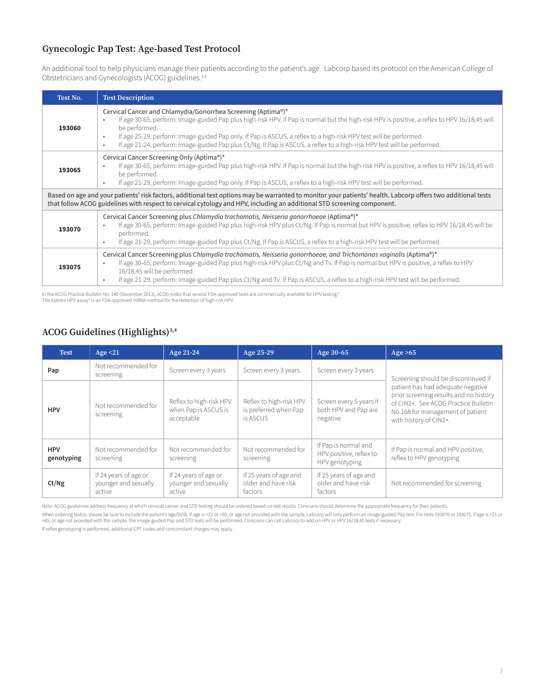#### **Gynecologic Pap Test: Age-based Test Protocol**

An additional tool to help physicians manage their patients according to the patient's age. Labcorp based its protocol on the American College of Obstetricians and Gynecologists (ACOG) guidelines.3,4

| Test No.                                                                                                                                                                                                                                                                                | <b>Test Description</b>                                                                                                                                                                                                                                                                                                                                                                                                                                                                                         |  |  |  |  |  |
|-----------------------------------------------------------------------------------------------------------------------------------------------------------------------------------------------------------------------------------------------------------------------------------------|-----------------------------------------------------------------------------------------------------------------------------------------------------------------------------------------------------------------------------------------------------------------------------------------------------------------------------------------------------------------------------------------------------------------------------------------------------------------------------------------------------------------|--|--|--|--|--|
| 193060                                                                                                                                                                                                                                                                                  | Cervical Cancer and Chlamydia/Gonorrhea Screening (Aptima®)*<br>If age 30-65, perform: Image-guided Pap plus high-risk HPV. If Pap is normal but the high-risk HPV is positive, a reflex to HPV 16/18,45 will<br>٠<br>be performed.<br>If age 25-29, perform: Image-guided Pap only. If Pap is ASCUS, a reflex to a high-risk HPV test will be performed.<br>$\bullet$<br>If age 21-24, perform: Image-guided Pap plus Ct/Ng. If Pap is ASCUS, a reflex to a high-risk HPV test will be performed.<br>$\bullet$ |  |  |  |  |  |
| 193065                                                                                                                                                                                                                                                                                  | Cervical Cancer Screening Only (Aptima®)*<br>If age 30-65, perform: Image-guided Pap plus high-risk HPV. If Pap is normal but the high-risk HPV is positive, a reflex to HPV 16/18,45 will<br>٠<br>be performed.<br>If age 21-29, perform: Image-guided Pap only. If Pap is ASCUS, a reflex to a high-risk HPV test will be performed.<br>$\bullet$                                                                                                                                                             |  |  |  |  |  |
| Based on age and your patients' risk factors, additional test options may be warranted to monitor your patients' health. Labcorp offers two additional tests<br>that follow ACOG guidelines with respect to cervical cytology and HPV, including an additional STD screening component. |                                                                                                                                                                                                                                                                                                                                                                                                                                                                                                                 |  |  |  |  |  |
| 193070                                                                                                                                                                                                                                                                                  | Cervical Cancer Screening plus Chlamydia trachomatis, Neisseria gonorrhoeae (Aptima®)*<br>If age 30-65, perform: Image-guided Pap plus high-risk HPV plus Ct/Ng. If Pap is normal but HPV is positive, reflex to HPV 16/18,45 will be<br>$\bullet$<br>performed.<br>If age 21-29, perform: Image-guided Pap plus Ct/Ng. If Pap is ASCUS, a reflex to a high-risk HPV test will be performed.<br>$\bullet$                                                                                                       |  |  |  |  |  |
| 193075                                                                                                                                                                                                                                                                                  | Cervical Cancer Screening plus Chlamydia trachomatis, Neisseria gonorrhoeae, and Trichomonas vaginalis (Aptima®)*<br>If age 30-65, perform: Image-guided Pap plus high-risk HPV plus Ct/Ng and Tv. If Pap is normal but HPV is positive, a reflex to HPV<br>٠<br>16/18,45 will be performed.<br>If age 21-29, perform: Image-guided Pap plus Ct/Ng and Tv. If Pap is ASCUS, a reflex to a high-risk HPV test will be performed.<br>٠                                                                            |  |  |  |  |  |

In the ACOG Practice Bulletin No. 140 (December 2013), ACOG notes that several FDA-approved tests are commercially available for HPV testing.<sup>9</sup><br>The Aptima HPV assay\* is an FDA-approved mRNA method for the detection of hig

#### **ACOG Guidelines (Highlights)3,4**

| <b>Test</b>              | Age $<$ 21                                              | Age 21-24                                                     | Age 25-29                                                    | Age 30-65                                                         | Age $>65$                                                                                                                                                                         |
|--------------------------|---------------------------------------------------------|---------------------------------------------------------------|--------------------------------------------------------------|-------------------------------------------------------------------|-----------------------------------------------------------------------------------------------------------------------------------------------------------------------------------|
| Pap                      | Not recommended for<br>screening                        | Screen every 3 years                                          | Screen every 3 years                                         | Screen every 3 years                                              | Screening should be discontinued if                                                                                                                                               |
| <b>HPV</b>               | Not recommended for<br>screening                        | Reflex to high-risk HPV<br>when Pap is ASCUS is<br>acceptable | Reflex to high-risk HPV<br>is preferred when Pap<br>is ASCUS | Screen every 5 years if<br>both HPV and Pap are<br>negative       | patient has had adequate negative<br>prior screening results and no history<br>of CIN2+. See ACOG Practice Bulletin<br>No.168 for management of patient<br>with history of CIN2+. |
| <b>HPV</b><br>genotyping | Not recommended for<br>screening                        | Not recommended for<br>screening                              | Not recommended for<br>screening                             | If Pap is normal and<br>HPV positive, reflex to<br>HPV genotyping | If Pap is normal and HPV positive,<br>reflex to HPV genotyping                                                                                                                    |
| Ct/Ng                    | If 24 years of age or<br>younger and sexually<br>active | If 24 years of age or<br>younger and sexually<br>active       | If 25 years of age and<br>older and have risk<br>factors     | If 25 years of age and<br>older and have risk<br>factors          | Not recommended for screening                                                                                                                                                     |

Note: ACOG guidelines address frequency at which cervical cancer and STD testing should be ordered based on test results. Clinicians should determine the appropriate frequency for their patients.

When ordering test(s), please be sure to include the patient's age/DOB. If age is <21 or >65, or age not provided with the sample, Labcorp will only perform an image-guided Pap test. For tests 193070 or 193075, if age is

If reflex genotyping is performed, additional CPT codes and concomitant charges may apply.